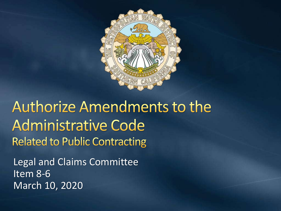

**Authorize Amendments to the Administrative Code Related to Public Contracting** 

Legal and Claims Committee Item 8-6 March 10, 2020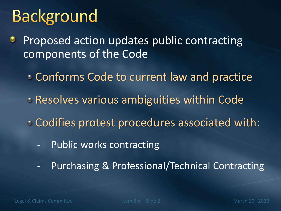# **Background**

Proposed action updates public contracting components of the Code

- Conforms Code to current law and practice
- Resolves various ambiguities within Code
- Codifies protest procedures associated with:
	- Public works contracting
	- Purchasing & Professional/Technical Contracting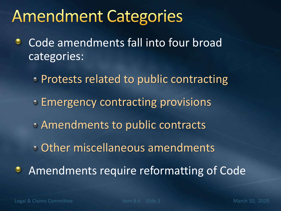## **Amendment Categories**

- Code amendments fall into four broad ٠ categories:
	- **Protests related to public contracting Emergency contracting provisions** Amendments to public contracts Other miscellaneous amendments Amendments require reformatting of Code

٥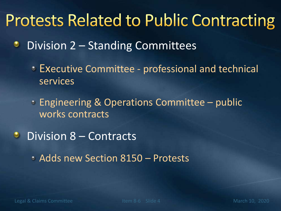## **Protests Related to Public Contracting**

- Division 2 Standing Committees ٠
	- Executive Committee professional and technical services
	- Engineering & Operations Committee public works contracts
- **Division 8 Contracts** 
	- Adds new Section 8150 Protests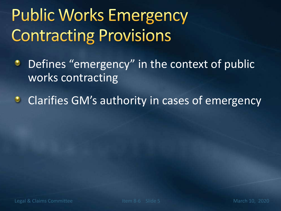# **Public Works Emergency Contracting Provisions**

- Defines "emergency" in the context of public ۰ works contracting
- **Clarifies GM's authority in cases of emergency**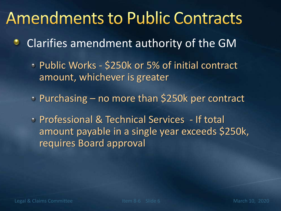### **Amendments to Public Contracts**

- Clarifies amendment authority of the GM
	- Public Works \$250k or 5% of initial contract amount, whichever is greater
	- Purchasing no more than \$250k per contract
	- Professional & Technical Services If total amount payable in a single year exceeds \$250k, requires Board approval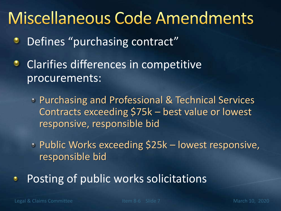## **Miscellaneous Code Amendments**

- Defines "purchasing contract" ۰
- **•** Clarifies differences in competitive procurements:
	- Purchasing and Professional & Technical Services Contracts exceeding \$75k – best value or lowest responsive, responsible bid
	- Public Works exceeding \$25k lowest responsive, responsible bid
- Posting of public works solicitations۰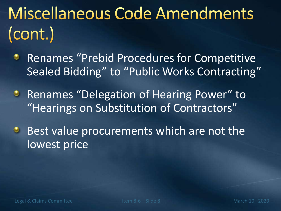# Miscellaneous Code Amendments (cont.)

- Renames "Prebid Procedures for Competitive ۰ Sealed Bidding" to "Public Works Contracting"
- **Renames "Delegation of Hearing Power" to** "Hearings on Substitution of Contractors"
- Best value procurements which are not the  $\bullet$ lowest price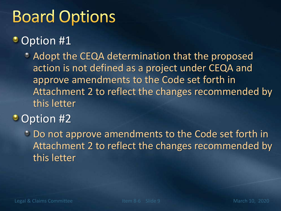# **Board Options**

#### • Option #1

Adopt the CEQA determination that the proposed action is not defined as a project under CEQA and approve amendments to the Code set forth in Attachment 2 to reflect the changes recommended by this letter

#### • Option #2

Do not approve amendments to the Code set forth in Attachment 2 to reflect the changes recommended by this letter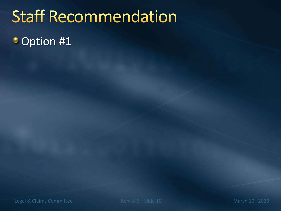## **Staff Recommendation**

• Option #1

Legal & Claims Committee **Item 8-6** Slide 10 March 10, 2020